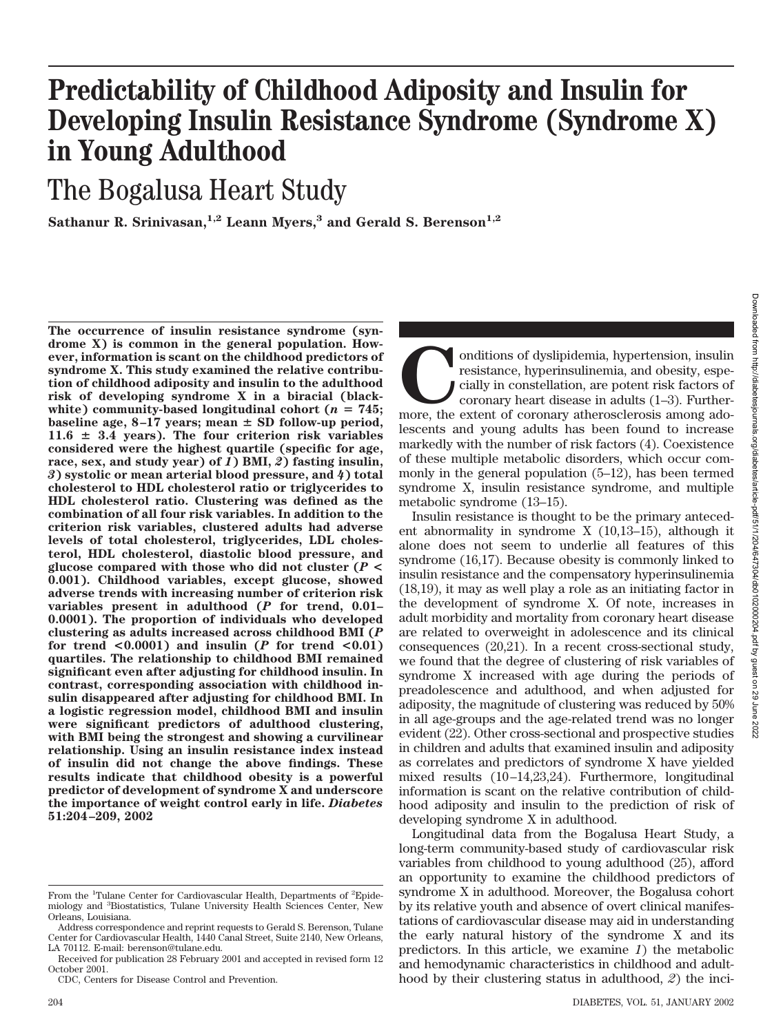# **Predictability of Childhood Adiposity and Insulin for Developing Insulin Resistance Syndrome (Syndrome X) in Young Adulthood**

The Bogalusa Heart Study

Sathanur R. Srinivasan,<sup>1,2</sup> Leann Myers,<sup>3</sup> and Gerald S. Berenson<sup>1,2</sup>

**The occurrence of insulin resistance syndrome (syndrome X) is common in the general population. However, information is scant on the childhood predictors of syndrome X. This study examined the relative contribution of childhood adiposity and insulin to the adulthood risk of developing syndrome X in a biracial (black**white) community-based longitudinal cohort ( $n = 745$ ; baseline age, 8-17 years; mean  $\pm$  SD follow-up period,  $11.6 \pm 3.4$  years). The four criterion risk variables **considered were the highest quartile (specific for age, race, sex, and study year) of** *1***) BMI,** *2***) fasting insulin,** *3***) systolic or mean arterial blood pressure, and** *4***) total cholesterol to HDL cholesterol ratio or triglycerides to HDL cholesterol ratio. Clustering was defined as the combination of all four risk variables. In addition to the criterion risk variables, clustered adults had adverse levels of total cholesterol, triglycerides, LDL cholesterol, HDL cholesterol, diastolic blood pressure, and glucose compared with those who did not cluster (***P* **< 0.001). Childhood variables, except glucose, showed adverse trends with increasing number of criterion risk variables present in adulthood (***P* **for trend, 0.01– 0.0001). The proportion of individuals who developed clustering as adults increased across childhood BMI (***P* **for trend <0.0001) and insulin (***P* **for trend <0.01) quartiles. The relationship to childhood BMI remained significant even after adjusting for childhood insulin. In contrast, corresponding association with childhood insulin disappeared after adjusting for childhood BMI. In a logistic regression model, childhood BMI and insulin were significant predictors of adulthood clustering, with BMI being the strongest and showing a curvilinear relationship. Using an insulin resistance index instead of insulin did not change the above findings. These results indicate that childhood obesity is a powerful predictor of development of syndrome X and underscore the importance of weight control early in life.** *Diabetes* **51:204–209, 2002**

conditions of dyslipidemia, hypertension, insulin resistance, hyperinsulinemia, and obesity, especially in constellation, are potent risk factors of coronary heart disease in adults (1–3). Furthermore, the extent of corona resistance, hyperinsulinemia, and obesity, especially in constellation, are potent risk factors of coronary heart disease in adults (1–3). Furtherlescents and young adults has been found to increase markedly with the number of risk factors (4). Coexistence of these multiple metabolic disorders, which occur commonly in the general population (5–12), has been termed syndrome X, insulin resistance syndrome, and multiple metabolic syndrome (13–15).

Insulin resistance is thought to be the primary antecedent abnormality in syndrome X (10,13–15), although it alone does not seem to underlie all features of this syndrome (16,17). Because obesity is commonly linked to insulin resistance and the compensatory hyperinsulinemia (18,19), it may as well play a role as an initiating factor in the development of syndrome X. Of note, increases in adult morbidity and mortality from coronary heart disease are related to overweight in adolescence and its clinical consequences (20,21). In a recent cross-sectional study, we found that the degree of clustering of risk variables of syndrome X increased with age during the periods of preadolescence and adulthood, and when adjusted for adiposity, the magnitude of clustering was reduced by 50% in all age-groups and the age-related trend was no longer evident (22). Other cross-sectional and prospective studies in children and adults that examined insulin and adiposity as correlates and predictors of syndrome X have yielded mixed results (10–14,23,24). Furthermore, longitudinal information is scant on the relative contribution of childhood adiposity and insulin to the prediction of risk of developing syndrome X in adulthood.

Longitudinal data from the Bogalusa Heart Study, a long-term community-based study of cardiovascular risk variables from childhood to young adulthood (25), afford an opportunity to examine the childhood predictors of syndrome X in adulthood. Moreover, the Bogalusa cohort by its relative youth and absence of overt clinical manifestations of cardiovascular disease may aid in understanding the early natural history of the syndrome X and its predictors. In this article, we examine *1*) the metabolic and hemodynamic characteristics in childhood and adulthood by their clustering status in adulthood, *2*) the inci-

From the <sup>1</sup>Tulane Center for Cardiovascular Health, Departments of <sup>2</sup>Epidemiology and <sup>3</sup> Biostatistics, Tulane University Health Sciences Center, New Orleans, Louisiana.

Address correspondence and reprint requests to Gerald S. Berenson, Tulane Center for Cardiovascular Health, 1440 Canal Street, Suite 2140, New Orleans, LA 70112. E-mail: berenson@tulane.edu.

Received for publication 28 February 2001 and accepted in revised form 12 October 2001.

CDC, Centers for Disease Control and Prevention.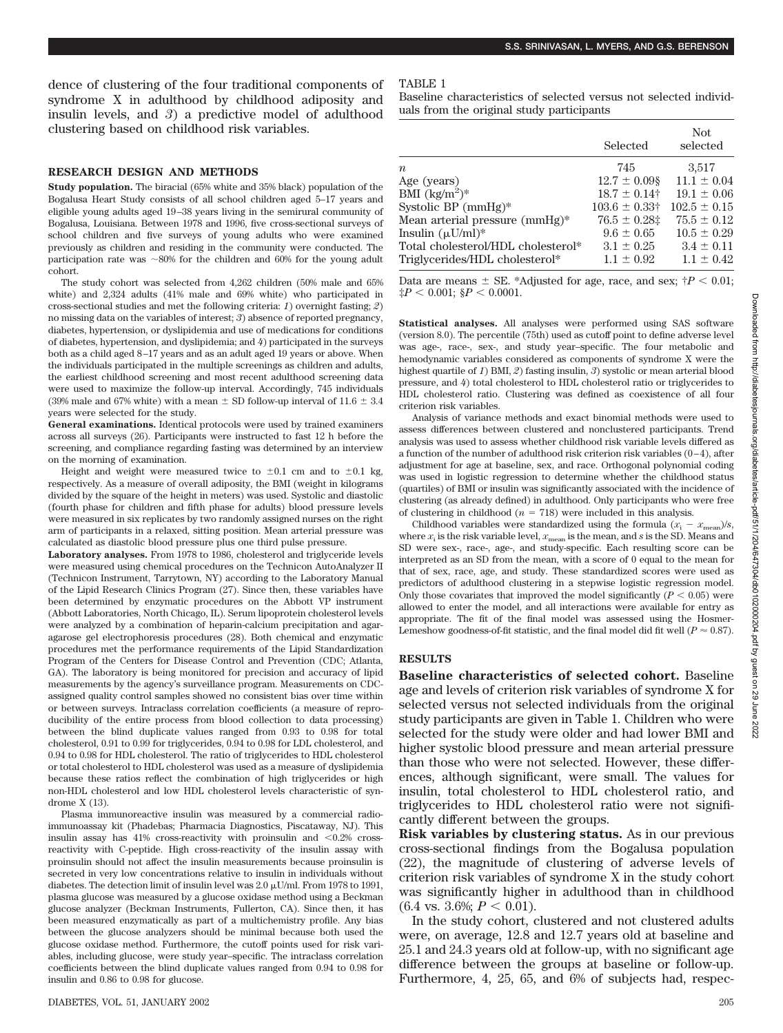dence of clustering of the four traditional components of syndrome X in adulthood by childhood adiposity and insulin levels, and *3*) a predictive model of adulthood clustering based on childhood risk variables.

### **RESEARCH DESIGN AND METHODS**

**Study population.** The biracial (65% white and 35% black) population of the Bogalusa Heart Study consists of all school children aged 5–17 years and eligible young adults aged 19–38 years living in the semirural community of Bogalusa, Louisiana. Between 1978 and 1996, five cross-sectional surveys of school children and five surveys of young adults who were examined previously as children and residing in the community were conducted. The participation rate was  $\sim80\%$  for the children and 60% for the young adult cohort.

The study cohort was selected from 4,262 children (50% male and 65% white) and 2,324 adults (41% male and 69% white) who participated in cross-sectional studies and met the following criteria: *1*) overnight fasting; *2*) no missing data on the variables of interest; *3*) absence of reported pregnancy, diabetes, hypertension, or dyslipidemia and use of medications for conditions of diabetes, hypertension, and dyslipidemia; and *4*) participated in the surveys both as a child aged 8–17 years and as an adult aged 19 years or above. When the individuals participated in the multiple screenings as children and adults, the earliest childhood screening and most recent adulthood screening data were used to maximize the follow-up interval. Accordingly, 745 individuals (39% male and 67% white) with a mean  $\pm$  SD follow-up interval of 11.6  $\pm$  3.4 years were selected for the study.

**General examinations.** Identical protocols were used by trained examiners across all surveys (26). Participants were instructed to fast 12 h before the screening, and compliance regarding fasting was determined by an interview on the morning of examination.

Height and weight were measured twice to  $\pm 0.1$  cm and to  $\pm 0.1$  kg, respectively. As a measure of overall adiposity, the BMI (weight in kilograms divided by the square of the height in meters) was used. Systolic and diastolic (fourth phase for children and fifth phase for adults) blood pressure levels were measured in six replicates by two randomly assigned nurses on the right arm of participants in a relaxed, sitting position. Mean arterial pressure was calculated as diastolic blood pressure plus one third pulse pressure.

**Laboratory analyses.** From 1978 to 1986, cholesterol and triglyceride levels were measured using chemical procedures on the Technicon AutoAnalyzer II (Technicon Instrument, Tarrytown, NY) according to the Laboratory Manual of the Lipid Research Clinics Program (27). Since then, these variables have been determined by enzymatic procedures on the Abbott VP instrument (Abbott Laboratories, North Chicago, IL). Serum lipoprotein cholesterol levels were analyzed by a combination of heparin-calcium precipitation and agaragarose gel electrophoresis procedures (28). Both chemical and enzymatic procedures met the performance requirements of the Lipid Standardization Program of the Centers for Disease Control and Prevention (CDC; Atlanta, GA). The laboratory is being monitored for precision and accuracy of lipid measurements by the agency's surveillance program. Measurements on CDCassigned quality control samples showed no consistent bias over time within or between surveys. Intraclass correlation coefficients (a measure of reproducibility of the entire process from blood collection to data processing) between the blind duplicate values ranged from 0.93 to 0.98 for total cholesterol, 0.91 to 0.99 for triglycerides, 0.94 to 0.98 for LDL cholesterol, and 0.94 to 0.98 for HDL cholesterol. The ratio of triglycerides to HDL cholesterol or total cholesterol to HDL cholesterol was used as a measure of dyslipidemia because these ratios reflect the combination of high triglycerides or high non-HDL cholesterol and low HDL cholesterol levels characteristic of syndrome X (13).

Plasma immunoreactive insulin was measured by a commercial radioimmunoassay kit (Phadebas; Pharmacia Diagnostics, Piscataway, NJ). This insulin assay has  $41\%$  cross-reactivity with proinsulin and  $\leq 0.2\%$  crossreactivity with C-peptide. High cross-reactivity of the insulin assay with proinsulin should not affect the insulin measurements because proinsulin is secreted in very low concentrations relative to insulin in individuals without diabetes. The detection limit of insulin level was  $2.0 \mu U/ml$ . From 1978 to 1991, plasma glucose was measured by a glucose oxidase method using a Beckman glucose analyzer (Beckman Instruments, Fullerton, CA). Since then, it has been measured enzymatically as part of a multichemistry profile. Any bias between the glucose analyzers should be minimal because both used the glucose oxidase method. Furthermore, the cutoff points used for risk variables, including glucose, were study year–specific. The intraclass correlation coefficients between the blind duplicate values ranged from 0.94 to 0.98 for insulin and 0.86 to 0.98 for glucose.

#### TABLE 1

Baseline characteristics of selected versus not selected individuals from the original study participants

|                                    | Selected                      | Not.<br>selected |
|------------------------------------|-------------------------------|------------------|
| $\boldsymbol{n}$                   | 745                           | 3,517            |
| Age (years)                        | $12.7 \pm 0.09$ §             | $11.1 \pm 0.04$  |
| BMI $(kg/m^2)^*$                   | $18.7 \pm 0.14$ †             | $19.1 \pm 0.06$  |
| Systolic BP $(mmHg)*$              | $103.6 \pm 0.33$ <sup>+</sup> | $102.5 \pm 0.15$ |
| Mean arterial pressure (mmHg)*     | $76.5 \pm 0.28$               | $75.5 \pm 0.12$  |
| Insulin $(\mu U/ml)^*$             | $9.6 \pm 0.65$                | $10.5 \pm 0.29$  |
| Total cholesterol/HDL cholesterol* | $3.1 \pm 0.25$                | $3.4 \pm 0.11$   |
| Triglycerides/HDL cholesterol*     | $1.1 \pm 0.92$                | $1.1 \pm 0.42$   |

Data are means  $\pm$  SE. \*Adjusted for age, race, and sex;  $\uparrow P$  < 0.01;  $\sharp P < 0.001$ ;  $\sharp P < 0.0001$ .

**Statistical analyses.** All analyses were performed using SAS software (version 8.0). The percentile (75th) used as cutoff point to define adverse level was age-, race-, sex-, and study year–specific. The four metabolic and hemodynamic variables considered as components of syndrome X were the highest quartile of *1*) BMI, *2*) fasting insulin, *3*) systolic or mean arterial blood pressure, and *4*) total cholesterol to HDL cholesterol ratio or triglycerides to HDL cholesterol ratio. Clustering was defined as coexistence of all four criterion risk variables.

Analysis of variance methods and exact binomial methods were used to assess differences between clustered and nonclustered participants. Trend analysis was used to assess whether childhood risk variable levels differed as a function of the number of adulthood risk criterion risk variables  $(0-4)$ , after adjustment for age at baseline, sex, and race. Orthogonal polynomial coding was used in logistic regression to determine whether the childhood status (quartiles) of BMI or insulin was significantly associated with the incidence of clustering (as already defined) in adulthood. Only participants who were free of clustering in childhood ( $n = 718$ ) were included in this analysis.

Childhood variables were standardized using the formula  $(x_i - x_{\text{mean}})/s$ , where  $x_i$  is the risk variable level,  $x_{\text{mean}}$  is the mean, and *s* is the SD. Means and SD were sex-, race-, age-, and study-specific. Each resulting score can be interpreted as an SD from the mean, with a score of 0 equal to the mean for that of sex, race, age, and study. These standardized scores were used as predictors of adulthood clustering in a stepwise logistic regression model. Only those covariates that improved the model significantly  $(P < 0.05)$  were allowed to enter the model, and all interactions were available for entry as appropriate. The fit of the final model was assessed using the Hosmer-Lemeshow goodness-of-fit statistic, and the final model did fit well ( $P \approx 0.87$ ).

### **RESULTS**

**Baseline characteristics of selected cohort.** Baseline age and levels of criterion risk variables of syndrome X for selected versus not selected individuals from the original study participants are given in Table 1. Children who were selected for the study were older and had lower BMI and higher systolic blood pressure and mean arterial pressure than those who were not selected. However, these differences, although significant, were small. The values for insulin, total cholesterol to HDL cholesterol ratio, and triglycerides to HDL cholesterol ratio were not significantly different between the groups.

**Risk variables by clustering status.** As in our previous cross-sectional findings from the Bogalusa population (22), the magnitude of clustering of adverse levels of criterion risk variables of syndrome X in the study cohort was significantly higher in adulthood than in childhood  $(6.4 \text{ vs. } 3.6\%; P < 0.01).$ 

In the study cohort, clustered and not clustered adults were, on average, 12.8 and 12.7 years old at baseline and 25.1 and 24.3 years old at follow-up, with no significant age difference between the groups at baseline or follow-up. Furthermore, 4, 25, 65, and 6% of subjects had, respec-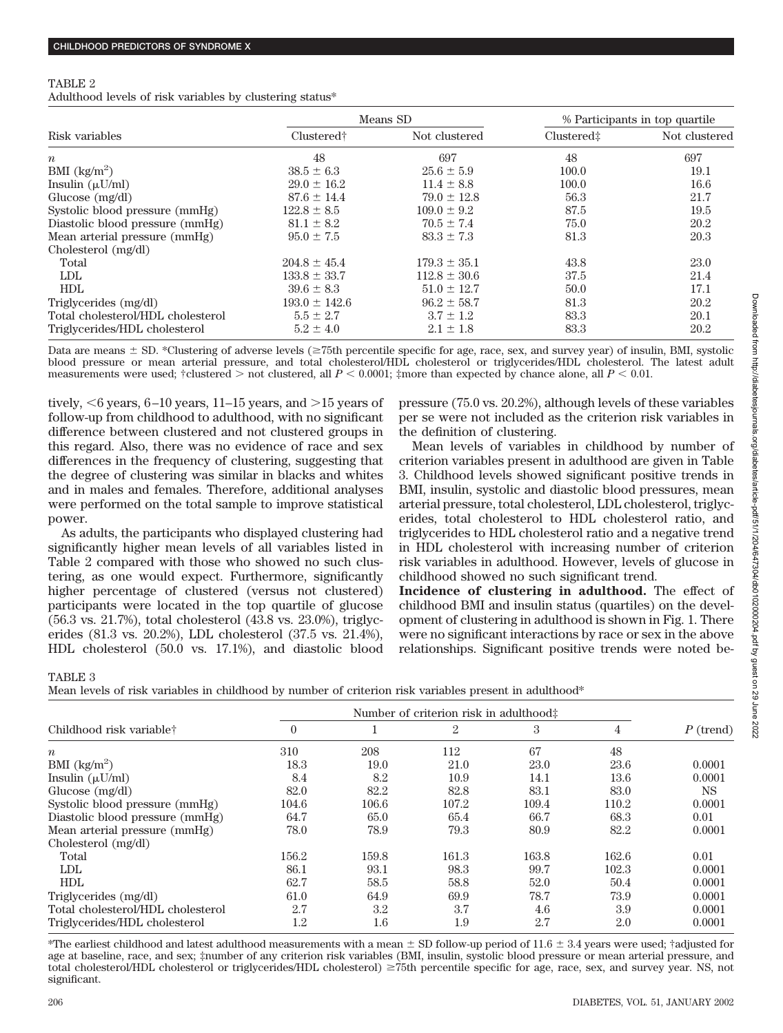### TABLE 2

Adulthood levels of risk variables by clustering status\*

|                                    |                        | Means SD         | % Participants in top quartile |               |
|------------------------------------|------------------------|------------------|--------------------------------|---------------|
| Risk variables                     | Clustered <sup>†</sup> | Not clustered    | Clustered <sup>±</sup>         | Not clustered |
| $\boldsymbol{n}$                   | 48                     | 697              | 48                             | 697           |
| BMI $\frac{\text{kg}}{\text{m}^2}$ | $38.5 \pm 6.3$         | $25.6 \pm 5.9$   | 100.0                          | 19.1          |
| Insulin $(\mu U/ml)$               | $29.0 \pm 16.2$        | $11.4 \pm 8.8$   | 100.0                          | 16.6          |
| Glucose $(mg/dl)$                  | $87.6 \pm 14.4$        | $79.0 \pm 12.8$  | 56.3                           | 21.7          |
| Systolic blood pressure (mmHg)     | $122.8 \pm 8.5$        | $109.0 \pm 9.2$  | 87.5                           | 19.5          |
| Diastolic blood pressure (mmHg)    | $81.1 \pm 8.2$         | $70.5 \pm 7.4$   | 75.0                           | 20.2          |
| Mean arterial pressure (mmHg)      | $95.0 \pm 7.5$         | $83.3 \pm 7.3$   | 81.3                           | 20.3          |
| Cholesterol (mg/dl)                |                        |                  |                                |               |
| Total                              | $204.8 \pm 45.4$       | $179.3 \pm 35.1$ | 43.8                           | 23.0          |
| <b>LDL</b>                         | $133.8 \pm 33.7$       | $112.8 \pm 30.6$ | 37.5                           | 21.4          |
| <b>HDL</b>                         | $39.6 \pm 8.3$         | $51.0 \pm 12.7$  | 50.0                           | 17.1          |
| Triglycerides (mg/dl)              | $193.0 \pm 142.6$      | $96.2 \pm 58.7$  | 81.3                           | 20.2          |
| Total cholesterol/HDL cholesterol  | $5.5 \pm 2.7$          | $3.7 \pm 1.2$    | 83.3                           | 20.1          |
| Triglycerides/HDL cholesterol      | $5.2 \pm 4.0$          | $2.1 \pm 1.8$    | 83.3                           | 20.2          |

Data are means  $\pm$  SD. \*Clustering of adverse levels ( $\geq$ 75th percentile specific for age, race, sex, and survey year) of insulin, BMI, systolic blood pressure or mean arterial pressure, and total cholesterol/HDL cholesterol or triglycerides/HDL cholesterol. The latest adult measurements were used;  $\dagger$ clustered  $>$  not clustered, all  $P < 0.0001$ ;  $\ddagger$ more than expected by chance alone, all  $P < 0.01$ .

tively,  $\leq 6$  years, 6–10 years, 11–15 years, and  $>15$  years of follow-up from childhood to adulthood, with no significant difference between clustered and not clustered groups in this regard. Also, there was no evidence of race and sex differences in the frequency of clustering, suggesting that the degree of clustering was similar in blacks and whites and in males and females. Therefore, additional analyses were performed on the total sample to improve statistical power.

As adults, the participants who displayed clustering had significantly higher mean levels of all variables listed in Table 2 compared with those who showed no such clustering, as one would expect. Furthermore, significantly higher percentage of clustered (versus not clustered) participants were located in the top quartile of glucose (56.3 vs. 21.7%), total cholesterol (43.8 vs. 23.0%), triglycerides (81.3 vs. 20.2%), LDL cholesterol (37.5 vs. 21.4%), HDL cholesterol (50.0 vs. 17.1%), and diastolic blood pressure (75.0 vs. 20.2%), although levels of these variables per se were not included as the criterion risk variables in the definition of clustering.

Mean levels of variables in childhood by number of criterion variables present in adulthood are given in Table 3. Childhood levels showed significant positive trends in BMI, insulin, systolic and diastolic blood pressures, mean arterial pressure, total cholesterol, LDL cholesterol, triglycerides, total cholesterol to HDL cholesterol ratio, and triglycerides to HDL cholesterol ratio and a negative trend in HDL cholesterol with increasing number of criterion risk variables in adulthood. However, levels of glucose in childhood showed no such significant trend.

**Incidence of clustering in adulthood.** The effect of childhood BMI and insulin status (quartiles) on the development of clustering in adulthood is shown in Fig. 1. There were no significant interactions by race or sex in the above relationships. Significant positive trends were noted be-

TABLE 3

Mean levels of risk variables in childhood by number of criterion risk variables present in adulthood\*

| Childhood risk variable <sup>†</sup> | Number of criterion risk in adulthood: |         |                |       |       |             |
|--------------------------------------|----------------------------------------|---------|----------------|-------|-------|-------------|
|                                      | $\theta$                               |         | $\overline{2}$ | 3     | 4     | $P$ (trend) |
| $\boldsymbol{n}$                     | 310                                    | 208     | 112            | 67    | 48    |             |
| BMI $\frac{kg}{m^2}$                 | 18.3                                   | 19.0    | 21.0           | 23.0  | 23.6  | 0.0001      |
| Insulin $(\mu U/ml)$                 | 8.4                                    | 8.2     | 10.9           | 14.1  | 13.6  | 0.0001      |
| Glucose (mg/dl)                      | 82.0                                   | 82.2    | 82.8           | 83.1  | 83.0  | <b>NS</b>   |
| Systolic blood pressure (mmHg)       | 104.6                                  | 106.6   | 107.2          | 109.4 | 110.2 | 0.0001      |
| Diastolic blood pressure (mmHg)      | 64.7                                   | 65.0    | 65.4           | 66.7  | 68.3  | 0.01        |
| Mean arterial pressure (mmHg)        | 78.0                                   | 78.9    | 79.3           | 80.9  | 82.2  | 0.0001      |
| Cholesterol (mg/dl)                  |                                        |         |                |       |       |             |
| Total                                | 156.2                                  | 159.8   | 161.3          | 163.8 | 162.6 | 0.01        |
| <b>LDL</b>                           | 86.1                                   | 93.1    | 98.3           | 99.7  | 102.3 | 0.0001      |
| <b>HDL</b>                           | 62.7                                   | 58.5    | 58.8           | 52.0  | 50.4  | 0.0001      |
| Triglycerides (mg/dl)                | 61.0                                   | 64.9    | 69.9           | 78.7  | 73.9  | 0.0001      |
| Total cholesterol/HDL cholesterol    | 2.7                                    | $3.2\,$ | 3.7            | 4.6   | 3.9   | 0.0001      |
| Triglycerides/HDL cholesterol        | 1.2                                    | $1.6\,$ | 1.9            | 2.7   | 2.0   | 0.0001      |

 $*$ The earliest childhood and latest adulthood measurements with a mean  $\pm$  SD follow-up period of 11.6  $\pm$  3.4 years were used; †adjusted for age at baseline, race, and sex; ‡number of any criterion risk variables (BMI, insulin, systolic blood pressure or mean arterial pressure, and total cholesterol/HDL cholesterol or triglycerides/HDL cholesterol)  $\geq$ 75th percentile specific for age, race, sex, and survey year. NS, not significant.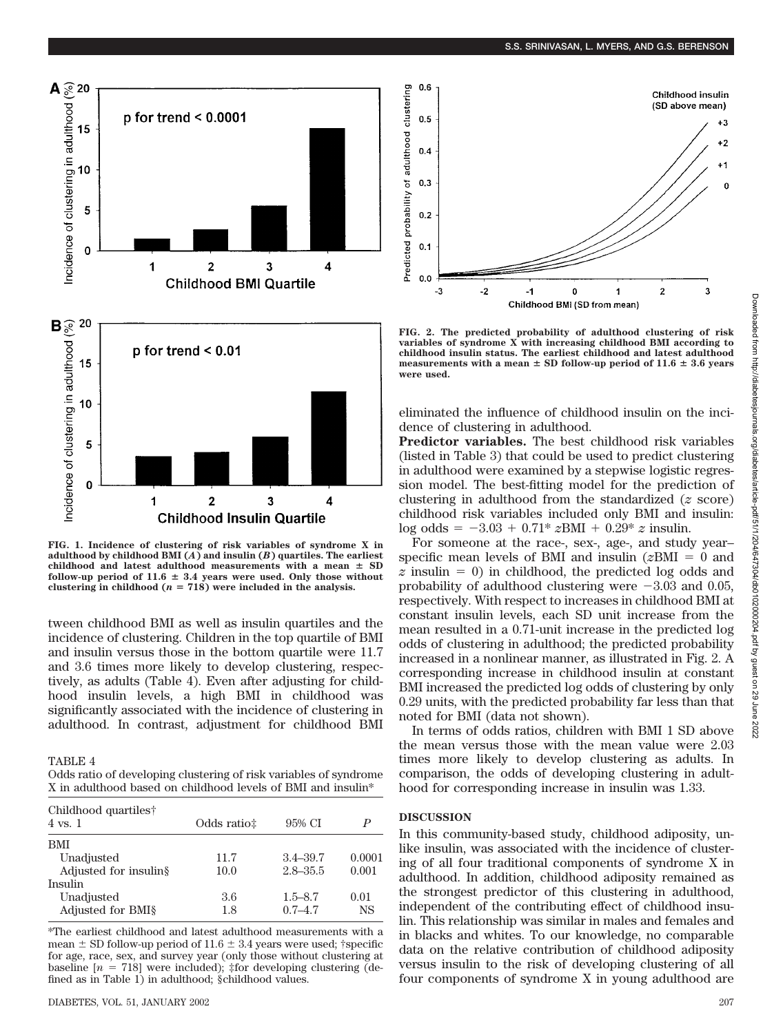

**FIG. 1. Incidence of clustering of risk variables of syndrome X in adulthood by childhood BMI (***A***) and insulin (***B***) quartiles. The earliest**  $childhood$  and latest adulthood measurements with a mean  $\pm$  SD follow-up period of  $11.6 \pm 3.4$  years were used. Only those without clustering in childhood  $(n = 718)$  were included in the analysis.

tween childhood BMI as well as insulin quartiles and the incidence of clustering. Children in the top quartile of BMI and insulin versus those in the bottom quartile were 11.7 and 3.6 times more likely to develop clustering, respectively, as adults (Table 4). Even after adjusting for childhood insulin levels, a high BMI in childhood was significantly associated with the incidence of clustering in adulthood. In contrast, adjustment for childhood BMI

TABLE 4

| Odds ratio of developing clustering of risk variables of syndrome |  |  |  |
|-------------------------------------------------------------------|--|--|--|
| X in adulthood based on childhood levels of BMI and insulin*      |  |  |  |

| Childhood quartiles†<br>$4 \text{ vs. } 1$ | Odds ratio: | 95% CI       |           |
|--------------------------------------------|-------------|--------------|-----------|
| <b>BMI</b>                                 |             |              |           |
| Unadjusted                                 | 11.7        | $3.4 - 39.7$ | 0.0001    |
| Adjusted for insulin§                      | 10.0        | $2.8 - 35.5$ | 0.001     |
| Insulin                                    |             |              |           |
| Unadjusted                                 | 3.6         | $1.5 - 8.7$  | 0.01      |
| Adjusted for BMI§                          | 1.8         | $0.7 - 4.7$  | <b>NS</b> |

\*The earliest childhood and latest adulthood measurements with a mean  $\pm$  SD follow-up period of 11.6  $\pm$  3.4 years were used; †specific for age, race, sex, and survey year (only those without clustering at baseline  $[n = 718]$  were included);  $\frac{1}{2}$  for developing clustering (defined as in Table 1) in adulthood; §childhood values.



**FIG. 2. The predicted probability of adulthood clustering of risk variables of syndrome X with increasing childhood BMI according to childhood insulin status. The earliest childhood and latest adulthood** measurements with a mean  $\pm$  SD follow-up period of  $11.6 \pm 3.6$  years **were used.**

eliminated the influence of childhood insulin on the incidence of clustering in adulthood.

**Predictor variables.** The best childhood risk variables (listed in Table 3) that could be used to predict clustering in adulthood were examined by a stepwise logistic regression model. The best-fitting model for the prediction of clustering in adulthood from the standardized (*z* score) childhood risk variables included only BMI and insulin:  $\log \text{odds} = -3.03 + 0.71* z \text{BMI} + 0.29* z \text{ insulin}.$ 

For someone at the race-, sex-, age-, and study year– specific mean levels of BMI and insulin  $(z)$ BMI = 0 and  $z$  insulin  $= 0$ ) in childhood, the predicted log odds and probability of adulthood clustering were  $-3.03$  and 0.05, respectively. With respect to increases in childhood BMI at constant insulin levels, each SD unit increase from the mean resulted in a 0.71-unit increase in the predicted log odds of clustering in adulthood; the predicted probability increased in a nonlinear manner, as illustrated in Fig. 2. A corresponding increase in childhood insulin at constant BMI increased the predicted log odds of clustering by only 0.29 units, with the predicted probability far less than that noted for BMI (data not shown).

In terms of odds ratios, children with BMI 1 SD above the mean versus those with the mean value were 2.03 times more likely to develop clustering as adults. In comparison, the odds of developing clustering in adulthood for corresponding increase in insulin was 1.33.

## **DISCUSSION**

In this community-based study, childhood adiposity, unlike insulin, was associated with the incidence of clustering of all four traditional components of syndrome X in adulthood. In addition, childhood adiposity remained as the strongest predictor of this clustering in adulthood, independent of the contributing effect of childhood insulin. This relationship was similar in males and females and in blacks and whites. To our knowledge, no comparable data on the relative contribution of childhood adiposity versus insulin to the risk of developing clustering of all four components of syndrome X in young adulthood are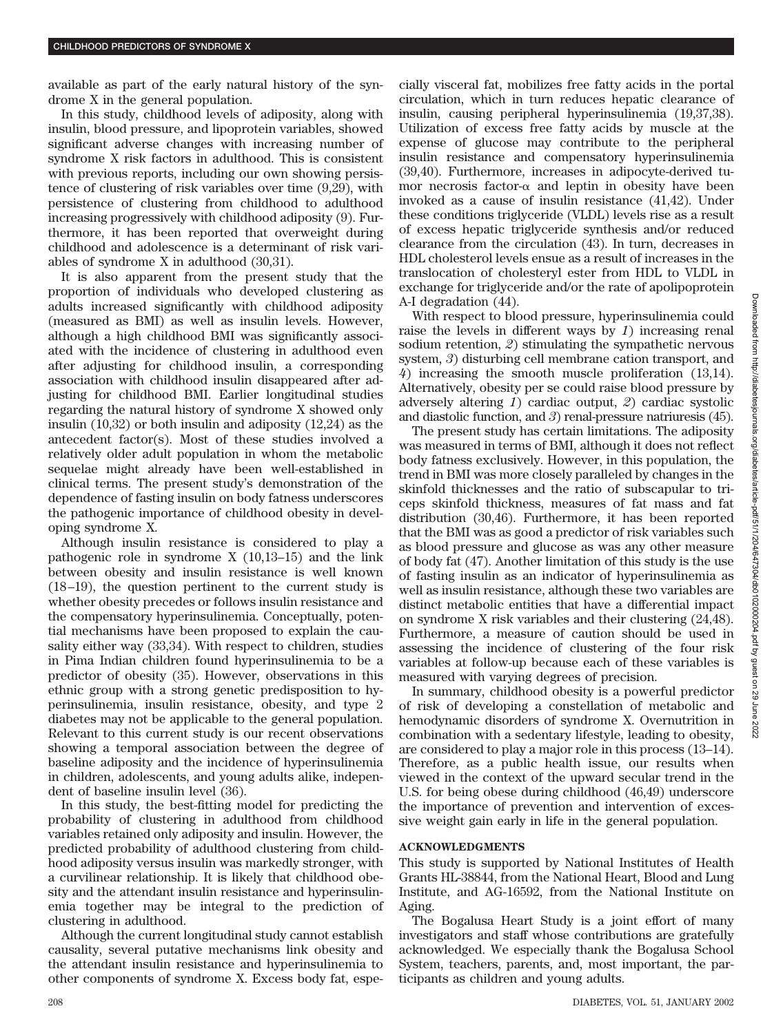available as part of the early natural history of the syndrome X in the general population.

In this study, childhood levels of adiposity, along with insulin, blood pressure, and lipoprotein variables, showed significant adverse changes with increasing number of syndrome X risk factors in adulthood. This is consistent with previous reports, including our own showing persistence of clustering of risk variables over time (9,29), with persistence of clustering from childhood to adulthood increasing progressively with childhood adiposity (9). Furthermore, it has been reported that overweight during childhood and adolescence is a determinant of risk variables of syndrome X in adulthood (30,31).

It is also apparent from the present study that the proportion of individuals who developed clustering as adults increased significantly with childhood adiposity (measured as BMI) as well as insulin levels. However, although a high childhood BMI was significantly associated with the incidence of clustering in adulthood even after adjusting for childhood insulin, a corresponding association with childhood insulin disappeared after adjusting for childhood BMI. Earlier longitudinal studies regarding the natural history of syndrome X showed only insulin (10,32) or both insulin and adiposity (12,24) as the antecedent factor(s). Most of these studies involved a relatively older adult population in whom the metabolic sequelae might already have been well-established in clinical terms. The present study's demonstration of the dependence of fasting insulin on body fatness underscores the pathogenic importance of childhood obesity in developing syndrome X.

Although insulin resistance is considered to play a pathogenic role in syndrome X (10,13–15) and the link between obesity and insulin resistance is well known (18–19), the question pertinent to the current study is whether obesity precedes or follows insulin resistance and the compensatory hyperinsulinemia. Conceptually, potential mechanisms have been proposed to explain the causality either way (33,34). With respect to children, studies in Pima Indian children found hyperinsulinemia to be a predictor of obesity (35). However, observations in this ethnic group with a strong genetic predisposition to hyperinsulinemia, insulin resistance, obesity, and type 2 diabetes may not be applicable to the general population. Relevant to this current study is our recent observations showing a temporal association between the degree of baseline adiposity and the incidence of hyperinsulinemia in children, adolescents, and young adults alike, independent of baseline insulin level (36).

In this study, the best-fitting model for predicting the probability of clustering in adulthood from childhood variables retained only adiposity and insulin. However, the predicted probability of adulthood clustering from childhood adiposity versus insulin was markedly stronger, with a curvilinear relationship. It is likely that childhood obesity and the attendant insulin resistance and hyperinsulinemia together may be integral to the prediction of clustering in adulthood.

Although the current longitudinal study cannot establish causality, several putative mechanisms link obesity and the attendant insulin resistance and hyperinsulinemia to other components of syndrome X. Excess body fat, especially visceral fat, mobilizes free fatty acids in the portal circulation, which in turn reduces hepatic clearance of insulin, causing peripheral hyperinsulinemia (19,37,38). Utilization of excess free fatty acids by muscle at the expense of glucose may contribute to the peripheral insulin resistance and compensatory hyperinsulinemia (39,40). Furthermore, increases in adipocyte-derived tumor necrosis factor- $\alpha$  and leptin in obesity have been invoked as a cause of insulin resistance (41,42). Under these conditions triglyceride (VLDL) levels rise as a result of excess hepatic triglyceride synthesis and/or reduced clearance from the circulation (43). In turn, decreases in HDL cholesterol levels ensue as a result of increases in the translocation of cholesteryl ester from HDL to VLDL in exchange for triglyceride and/or the rate of apolipoprotein A-I degradation (44).

With respect to blood pressure, hyperinsulinemia could raise the levels in different ways by *1*) increasing renal sodium retention, *2*) stimulating the sympathetic nervous system, *3*) disturbing cell membrane cation transport, and *4*) increasing the smooth muscle proliferation (13,14). Alternatively, obesity per se could raise blood pressure by adversely altering *1*) cardiac output, *2*) cardiac systolic and diastolic function, and *3*) renal-pressure natriuresis (45).

The present study has certain limitations. The adiposity was measured in terms of BMI, although it does not reflect body fatness exclusively. However, in this population, the trend in BMI was more closely paralleled by changes in the skinfold thicknesses and the ratio of subscapular to triceps skinfold thickness, measures of fat mass and fat distribution (30,46). Furthermore, it has been reported that the BMI was as good a predictor of risk variables such as blood pressure and glucose as was any other measure of body fat (47). Another limitation of this study is the use of fasting insulin as an indicator of hyperinsulinemia as well as insulin resistance, although these two variables are distinct metabolic entities that have a differential impact on syndrome X risk variables and their clustering (24,48). Furthermore, a measure of caution should be used in assessing the incidence of clustering of the four risk variables at follow-up because each of these variables is measured with varying degrees of precision.

In summary, childhood obesity is a powerful predictor of risk of developing a constellation of metabolic and hemodynamic disorders of syndrome X. Overnutrition in combination with a sedentary lifestyle, leading to obesity, are considered to play a major role in this process (13–14). Therefore, as a public health issue, our results when viewed in the context of the upward secular trend in the U.S. for being obese during childhood (46,49) underscore the importance of prevention and intervention of excessive weight gain early in life in the general population.

# **ACKNOWLEDGMENTS**

This study is supported by National Institutes of Health Grants HL-38844, from the National Heart, Blood and Lung Institute, and AG-16592, from the National Institute on Aging.

The Bogalusa Heart Study is a joint effort of many investigators and staff whose contributions are gratefully acknowledged. We especially thank the Bogalusa School System, teachers, parents, and, most important, the participants as children and young adults.